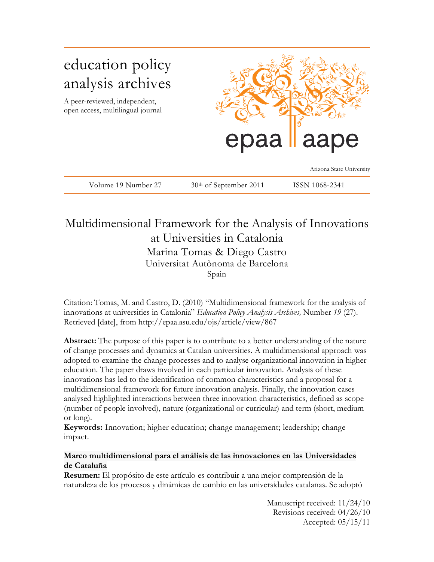# education policy analysis archives A peer-reviewed, independent, open access, multilingual journal aape epaa Arizona State University Volume 19 Number 27 30<sup>th</sup> of September 2011 ISSN 1068-2341

# Multidimensional Framework for the Analysis of Innovations at Universities in Catalonia Marina Tomas & Diego Castro Universitat Autònoma de Barcelona Spain

Citation: Tomas, M. and Castro, D. (2010) "Multidimensional framework for the analysis of innovations at universities in Catalonia" *Education Policy Analysis Archives,* Number *19* (27). Retrieved [date], from http://epaa.asu.edu/ojs/article/view/867

**Abstract:** The purpose of this paper is to contribute to a better understanding of the nature of change processes and dynamics at Catalan universities. A multidimensional approach was adopted to examine the change processes and to analyse organizational innovation in higher education. The paper draws involved in each particular innovation. Analysis of these innovations has led to the identification of common characteristics and a proposal for a multidimensional framework for future innovation analysis. Finally, the innovation cases analysed highlighted interactions between three innovation characteristics, defined as scope (number of people involved), nature (organizational or curricular) and term (short, medium or long).

**Keywords:** Innovation; higher education; change management; leadership; change impact.

# **Marco multidimensional para el análisis de las innovaciones en las Universidades de Cataluña**

**Resumen:** El propósito de este artículo es contribuir a una mejor comprensión de la naturaleza de los procesos y dinámicas de cambio en las universidades catalanas. Se adoptó

> Manuscript received: 11/24/10 Revisions received: 04/26/10 Accepted: 05/15/11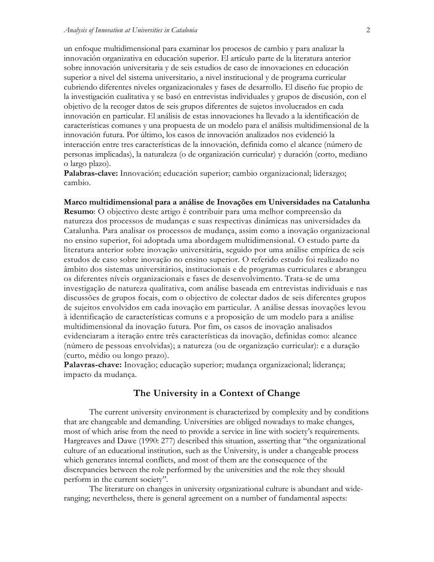un enfoque multidimensional para examinar los procesos de cambio y para analizar la innovación organizativa en educación superior. El artículo parte de la literatura anterior sobre innovación universitaria y de seis estudios de caso de innovaciones en educación superior a nivel del sistema universitario, a nivel institucional y de programa curricular cubriendo diferentes niveles organizacionales y fases de desarrollo. El diseño fue propio de la investigación cualitativa y se basó en entrevistas individuales y grupos de discusión, con el objetivo de la recoger datos de seis grupos diferentes de sujetos involucrados en cada innovación en particular. El análisis de estas innovaciones ha llevado a la identificación de características comunes y una propuesta de un modelo para el análisis multidimensional de la innovación futura. Por último, los casos de innovación analizados nos evidenció la interacción entre tres características de la innovación, definida como el alcance (número de personas implicadas), la naturaleza (o de organización curricular) y duración (corto, mediano o largo plazo).

**Palabras-clave:** Innovación; educación superior; cambio organizacional; liderazgo; cambio.

**Marco multidimensional para a análise de Inovações em Universidades na Catalunha Resumo**: O objectivo deste artigo é contribuir para uma melhor compreensão da natureza dos processos de mudanças e suas respectivas dinâmicas nas universidades da Catalunha. Para analisar os processos de mudança, assim como a inovação organizacional no ensino superior, foi adoptada uma abordagem multidimensional. O estudo parte da literatura anterior sobre inovação universitária, seguido por uma análise empírica de seis estudos de caso sobre inovação no ensino superior. O referido estudo foi realizado no âmbito dos sistemas universitários, institucionais e de programas curriculares e abrangeu os diferentes níveis organizacionais e fases de desenvolvimento. Trata-se de uma investigação de natureza qualitativa, com análise baseada em entrevistas individuais e nas discussões de grupos focais, com o objectivo de colectar dados de seis diferentes grupos de sujeitos envolvidos em cada inovação em particular. A análise dessas inovações levou à identificação de características comuns e a proposição de um modelo para a análise multidimensional da inovação futura. Por fim, os casos de inovação analisados evidenciaram a iteração entre três características da inovação, definidas como: alcance (número de pessoas envolvidas); a natureza (ou de organização curricular): e a duração (curto, médio ou longo prazo).

**Palavras-chave:** Inovação; educação superior; mudança organizacional; liderança; impacto da mudança.

# **The University in a Context of Change**

The current university environment is characterized by complexity and by conditions that are changeable and demanding. Universities are obliged nowadays to make changes, most of which arise from the need to provide a service in line with society's requirements. Hargreaves and Dawe (1990: 277) described this situation, asserting that "the organizational culture of an educational institution, such as the University, is under a changeable process which generates internal conflicts, and most of them are the consequence of the discrepancies between the role performed by the universities and the role they should perform in the current society".

The literature on changes in university organizational culture is abundant and wideranging; nevertheless, there is general agreement on a number of fundamental aspects: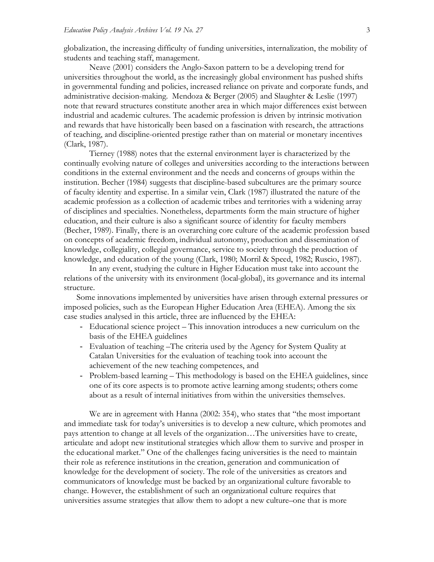globalization, the increasing difficulty of funding universities, internalization, the mobility of students and teaching staff, management.

Neave (2001) considers the Anglo-Saxon pattern to be a developing trend for universities throughout the world, as the increasingly global environment has pushed shifts in governmental funding and policies, increased reliance on private and corporate funds, and administrative decision-making. Mendoza & Berger (2005) and Slaughter & Leslie (1997) note that reward structures constitute another area in which major differences exist between industrial and academic cultures. The academic profession is driven by intrinsic motivation and rewards that have historically been based on a fascination with research, the attractions of teaching, and discipline-oriented prestige rather than on material or monetary incentives (Clark, 1987).

Tierney (1988) notes that the external environment layer is characterized by the continually evolving nature of colleges and universities according to the interactions between conditions in the external environment and the needs and concerns of groups within the institution. Becher (1984) suggests that discipline-based subcultures are the primary source of faculty identity and expertise. In a similar vein, Clark (1987) illustrated the nature of the academic profession as a collection of academic tribes and territories with a widening array of disciplines and specialties. Nonetheless, departments form the main structure of higher education, and their culture is also a significant source of identity for faculty members (Becher, 1989). Finally, there is an overarching core culture of the academic profession based on concepts of academic freedom, individual autonomy, production and dissemination of knowledge, collegiality, collegial governance, service to society through the production of knowledge, and education of the young (Clark, 1980; Morril & Speed, 1982; Ruscio, 1987).

In any event, studying the culture in Higher Education must take into account the relations of the university with its environment (local-global), its governance and its internal structure.

Some innovations implemented by universities have arisen through external pressures or imposed policies, such as the European Higher Education Area (EHEA). Among the six case studies analysed in this article, three are influenced by the EHEA:

- Educational science project This innovation introduces a new curriculum on the basis of the EHEA guidelines
- Evaluation of teaching –The criteria used by the Agency for System Quality at Catalan Universities for the evaluation of teaching took into account the achievement of the new teaching competences, and
- Problem-based learning This methodology is based on the EHEA guidelines, since one of its core aspects is to promote active learning among students; others come about as a result of internal initiatives from within the universities themselves.

We are in agreement with Hanna (2002: 354), who states that "the most important and immediate task for today's universities is to develop a new culture, which promotes and pays attention to change at all levels of the organization…The universities have to create, articulate and adopt new institutional strategies which allow them to survive and prosper in the educational market." One of the challenges facing universities is the need to maintain their role as reference institutions in the creation, generation and communication of knowledge for the development of society. The role of the universities as creators and communicators of knowledge must be backed by an organizational culture favorable to change. However, the establishment of such an organizational culture requires that universities assume strategies that allow them to adopt a new culture–one that is more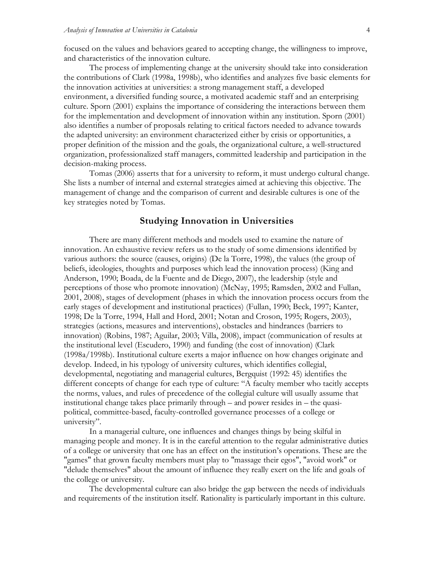focused on the values and behaviors geared to accepting change, the willingness to improve, and characteristics of the innovation culture.

The process of implementing change at the university should take into consideration the contributions of Clark (1998a, 1998b), who identifies and analyzes five basic elements for the innovation activities at universities: a strong management staff, a developed environment, a diversified funding source, a motivated academic staff and an enterprising culture. Sporn (2001) explains the importance of considering the interactions between them for the implementation and development of innovation within any institution. Sporn (2001) also identifies a number of proposals relating to critical factors needed to advance towards the adapted university: an environment characterized either by crisis or opportunities, a proper definition of the mission and the goals, the organizational culture, a well-structured organization, professionalized staff managers, committed leadership and participation in the decision-making process.

Tomas (2006) asserts that for a university to reform, it must undergo cultural change. She lists a number of internal and external strategies aimed at achieving this objective. The management of change and the comparison of current and desirable cultures is one of the key strategies noted by Tomas.

# **Studying Innovation in Universities**

There are many different methods and models used to examine the nature of innovation. An exhaustive review refers us to the study of some dimensions identified by various authors: the source (causes, origins) (De la Torre, 1998), the values (the group of beliefs, ideologies, thoughts and purposes which lead the innovation process) (King and Anderson, 1990; Boada, de la Fuente and de Diego, 2007), the leadership (style and perceptions of those who promote innovation) (McNay, 1995; Ramsden, 2002 and Fullan, 2001, 2008), stages of development (phases in which the innovation process occurs from the early stages of development and institutional practices) (Fullan, 1990; Beck, 1997; Kanter, 1998; De la Torre, 1994, Hall and Hord, 2001; Notan and Croson, 1995; Rogers, 2003), strategies (actions, measures and interventions), obstacles and hindrances (barriers to innovation) (Robins, 1987; Aguilar, 2003; Villa, 2008), impact (communication of results at the institutional level (Escudero, 1990) and funding (the cost of innovation) (Clark (1998a/1998b). Institutional culture exerts a major influence on how changes originate and develop. Indeed, in his typology of university cultures, which identifies collegial, developmental, negotiating and managerial cultures, Bergquist (1992: 45) identifies the different concepts of change for each type of culture: "A faculty member who tacitly accepts the norms, values, and rules of precedence of the collegial culture will usually assume that institutional change takes place primarily through – and power resides in – the quasipolitical, committee-based, faculty-controlled governance processes of a college or university".

In a managerial culture, one influences and changes things by being skilful in managing people and money. It is in the careful attention to the regular administrative duties of a college or university that one has an effect on the institution's operations. These are the "games" that grown faculty members must play to "massage their egos", "avoid work" or "delude themselves" about the amount of influence they really exert on the life and goals of the college or university.

The developmental culture can also bridge the gap between the needs of individuals and requirements of the institution itself. Rationality is particularly important in this culture.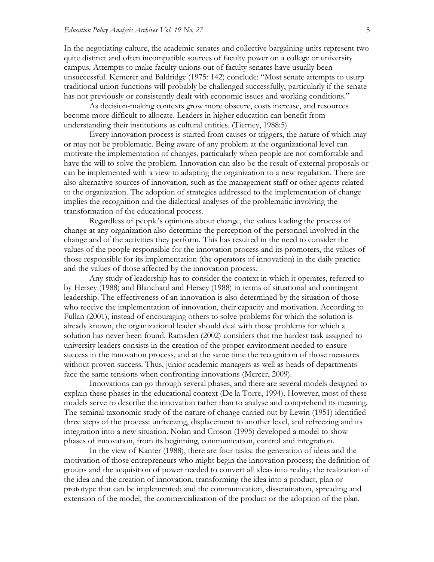In the negotiating culture, the academic senates and collective bargaining units represent two quite distinct and often incompatible sources of faculty power on a college or university campus. Attempts to make faculty unions out of faculty senates have usually been unsuccessful. Kemerer and Baldridge (1975: 142) conclude: "Most senate attempts to usurp traditional union functions will probably be challenged successfully, particularly if the senate has not previously or consistently dealt with economic issues and working conditions."

As decision-making contexts grow more obscure, costs increase, and resources become more difficult to allocate. Leaders in higher education can benefit from understanding their institutions as cultural entities. (Tierney, 1988:5)

Every innovation process is started from causes or triggers, the nature of which may or may not be problematic. Being aware of any problem at the organizational level can motivate the implementation of changes, particularly when people are not comfortable and have the will to solve the problem. Innovation can also be the result of external proposals or can be implemented with a view to adapting the organization to a new regulation. There are also alternative sources of innovation, such as the management staff or other agents related to the organization. The adoption of strategies addressed to the implementation of change implies the recognition and the dialectical analyses of the problematic involving the transformation of the educational process.

Regardless of people's opinions about change, the values leading the process of change at any organization also determine the perception of the personnel involved in the change and of the activities they perform. This has resulted in the need to consider the values of the people responsible for the innovation process and its promoters, the values of those responsible for its implementation (the operators of innovation) in the daily practice and the values of those affected by the innovation process.

Any study of leadership has to consider the context in which it operates, referred to by Hersey (1988) and Blanchard and Hersey (1988) in terms of situational and contingent leadership. The effectiveness of an innovation is also determined by the situation of those who receive the implementation of innovation, their capacity and motivation. According to Fullan (2001), instead of encouraging others to solve problems for which the solution is already known, the organizational leader should deal with those problems for which a solution has never been found. Ramsden (2002) considers that the hardest task assigned to university leaders consists in the creation of the proper environment needed to ensure success in the innovation process, and at the same time the recognition of those measures without proven success. Thus, junior academic managers as well as heads of departments face the same tensions when confronting innovations (Mercer, 2009).

Innovations can go through several phases, and there are several models designed to explain these phases in the educational context (De la Torre, 1994). However, most of these models serve to describe the innovation rather than to analyse and comprehend its meaning. The seminal taxonomic study of the nature of change carried out by Lewin (1951) identified three steps of the process: unfreezing, displacement to another level, and refreezing and its integration into a new situation. Nolan and Croson (1995) developed a model to show phases of innovation, from its beginning, communication, control and integration.

In the view of Kanter (1988), there are four tasks: the generation of ideas and the motivation of those entrepreneurs who might begin the innovation process; the definition of groups and the acquisition of power needed to convert all ideas into reality; the realization of the idea and the creation of innovation, transforming the idea into a product, plan or prototype that can be implemented; and the communication, dissemination, spreading and extension of the model, the commercialization of the product or the adoption of the plan.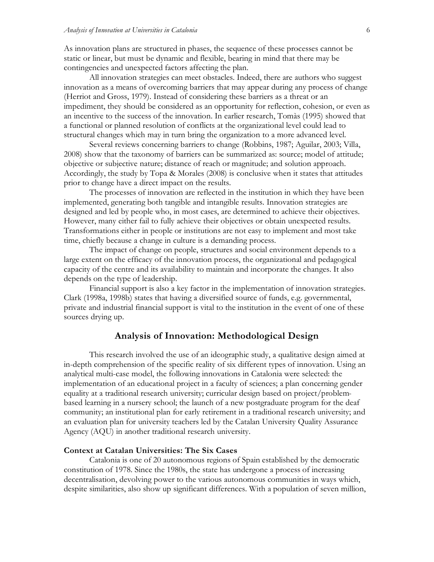As innovation plans are structured in phases, the sequence of these processes cannot be static or linear, but must be dynamic and flexible, bearing in mind that there may be contingencies and unexpected factors affecting the plan.

All innovation strategies can meet obstacles. Indeed, there are authors who suggest innovation as a means of overcoming barriers that may appear during any process of change (Herriot and Gross, 1979). Instead of considering these barriers as a threat or an impediment, they should be considered as an opportunity for reflection, cohesion, or even as an incentive to the success of the innovation. In earlier research, Tomàs (1995) showed that a functional or planned resolution of conflicts at the organizational level could lead to structural changes which may in turn bring the organization to a more advanced level.

Several reviews concerning barriers to change (Robbins, 1987; Aguilar, 2003; Villa, 2008) show that the taxonomy of barriers can be summarized as: source; model of attitude; objective or subjective nature; distance of reach or magnitude; and solution approach. Accordingly, the study by Topa & Morales (2008) is conclusive when it states that attitudes prior to change have a direct impact on the results.

The processes of innovation are reflected in the institution in which they have been implemented, generating both tangible and intangible results. Innovation strategies are designed and led by people who, in most cases, are determined to achieve their objectives. However, many either fail to fully achieve their objectives or obtain unexpected results. Transformations either in people or institutions are not easy to implement and most take time, chiefly because a change in culture is a demanding process.

The impact of change on people, structures and social environment depends to a large extent on the efficacy of the innovation process, the organizational and pedagogical capacity of the centre and its availability to maintain and incorporate the changes. It also depends on the type of leadership.

Financial support is also a key factor in the implementation of innovation strategies. Clark (1998a, 1998b) states that having a diversified source of funds, e.g. governmental, private and industrial financial support is vital to the institution in the event of one of these sources drying up.

# **Analysis of Innovation: Methodological Design**

This research involved the use of an ideographic study, a qualitative design aimed at in-depth comprehension of the specific reality of six different types of innovation. Using an analytical multi-case model, the following innovations in Catalonia were selected: the implementation of an educational project in a faculty of sciences; a plan concerning gender equality at a traditional research university; curricular design based on project/problembased learning in a nursery school; the launch of a new postgraduate program for the deaf community; an institutional plan for early retirement in a traditional research university; and an evaluation plan for university teachers led by the Catalan University Quality Assurance Agency (AQU) in another traditional research university.

## **Context at Catalan Universities: The Six Cases**

Catalonia is one of 20 autonomous regions of Spain established by the democratic constitution of 1978. Since the 1980s, the state has undergone a process of increasing decentralisation, devolving power to the various autonomous communities in ways which, despite similarities, also show up significant differences. With a population of seven million,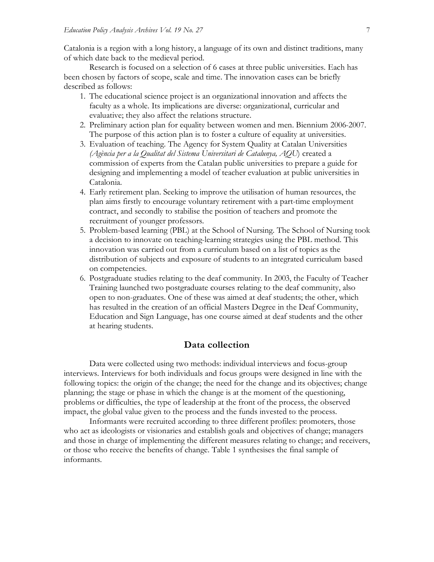Catalonia is a region with a long history, a language of its own and distinct traditions, many of which date back to the medieval period.

Research is focused on a selection of 6 cases at three public universities. Each has been chosen by factors of scope, scale and time. The innovation cases can be briefly described as follows:

- 1. The educational science project is an organizational innovation and affects the faculty as a whole. Its implications are diverse: organizational, curricular and evaluative; they also affect the relations structure.
- 2. Preliminary action plan for equality between women and men. Biennium 2006-2007. The purpose of this action plan is to foster a culture of equality at universities.
- 3. Evaluation of teaching. The Agency for System Quality at Catalan Universities *(Agència per a la Qualitat del Sistema Universitari de Catalunya, AQU*) created a commission of experts from the Catalan public universities to prepare a guide for designing and implementing a model of teacher evaluation at public universities in Catalonia.
- 4. Early retirement plan. Seeking to improve the utilisation of human resources, the plan aims firstly to encourage voluntary retirement with a part-time employment contract, and secondly to stabilise the position of teachers and promote the recruitment of younger professors.
- 5. Problem-based learning (PBL) at the School of Nursing. The School of Nursing took a decision to innovate on teaching-learning strategies using the PBL method. This innovation was carried out from a curriculum based on a list of topics as the distribution of subjects and exposure of students to an integrated curriculum based on competencies.
- 6. Postgraduate studies relating to the deaf community. In 2003, the Faculty of Teacher Training launched two postgraduate courses relating to the deaf community, also open to non-graduates. One of these was aimed at deaf students; the other, which has resulted in the creation of an official Masters Degree in the Deaf Community, Education and Sign Language, has one course aimed at deaf students and the other at hearing students.

# **Data collection**

Data were collected using two methods: individual interviews and focus-group interviews. Interviews for both individuals and focus groups were designed in line with the following topics: the origin of the change; the need for the change and its objectives; change planning; the stage or phase in which the change is at the moment of the questioning, problems or difficulties, the type of leadership at the front of the process, the observed impact, the global value given to the process and the funds invested to the process.

Informants were recruited according to three different profiles: promoters, those who act as ideologists or visionaries and establish goals and objectives of change; managers and those in charge of implementing the different measures relating to change; and receivers, or those who receive the benefits of change. Table 1 synthesises the final sample of informants.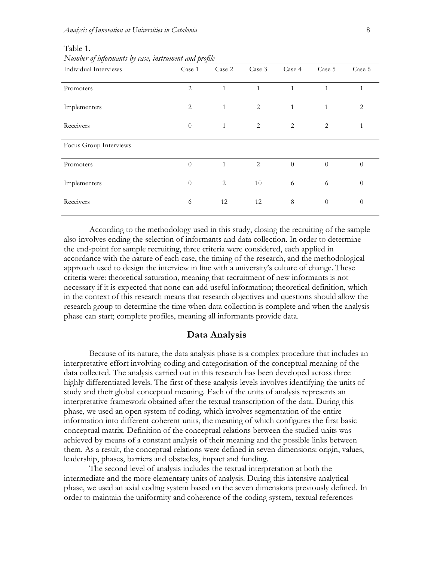| Individual Interviews  | Case 1         | Case 2       | Case 3         | Case 4       | Case 5   | Case 6       |
|------------------------|----------------|--------------|----------------|--------------|----------|--------------|
| Promoters              | $\overline{2}$ | 1            | 1              | $\mathbf{1}$ | 1        | $\mathbf{1}$ |
| Implementers           | $\overline{2}$ | $\mathbf{1}$ | $\overline{c}$ | $\mathbf{1}$ | 1        | 2            |
| Receivers              | $\theta$       | $\mathbf{1}$ | 2              | 2            | 2        | 1            |
| Focus Group Interviews |                |              |                |              |          |              |
| Promoters              | $\theta$       | $\mathbf{1}$ | 2              | $\theta$     | $\Omega$ | $\theta$     |
| Implementers           | $\theta$       | 2            | 10             | 6            | 6        | $\theta$     |
| Receivers              | 6              | 12           | 12             | $\,8\,$      | $\theta$ | $\theta$     |

#### Table 1.

*Number of informants by case, instrument and profile*

According to the methodology used in this study, closing the recruiting of the sample also involves ending the selection of informants and data collection. In order to determine the end-point for sample recruiting, three criteria were considered, each applied in accordance with the nature of each case, the timing of the research, and the methodological approach used to design the interview in line with a university's culture of change. These criteria were: theoretical saturation, meaning that recruitment of new informants is not necessary if it is expected that none can add useful information; theoretical definition, which in the context of this research means that research objectives and questions should allow the research group to determine the time when data collection is complete and when the analysis phase can start; complete profiles, meaning all informants provide data.

## **Data Analysis**

Because of its nature, the data analysis phase is a complex procedure that includes an interpretative effort involving coding and categorisation of the conceptual meaning of the data collected. The analysis carried out in this research has been developed across three highly differentiated levels. The first of these analysis levels involves identifying the units of study and their global conceptual meaning. Each of the units of analysis represents an interpretative framework obtained after the textual transcription of the data. During this phase, we used an open system of coding, which involves segmentation of the entire information into different coherent units, the meaning of which configures the first basic conceptual matrix. Definition of the conceptual relations between the studied units was achieved by means of a constant analysis of their meaning and the possible links between them. As a result, the conceptual relations were defined in seven dimensions: origin, values, leadership, phases, barriers and obstacles, impact and funding.

The second level of analysis includes the textual interpretation at both the intermediate and the more elementary units of analysis. During this intensive analytical phase, we used an axial coding system based on the seven dimensions previously defined. In order to maintain the uniformity and coherence of the coding system, textual references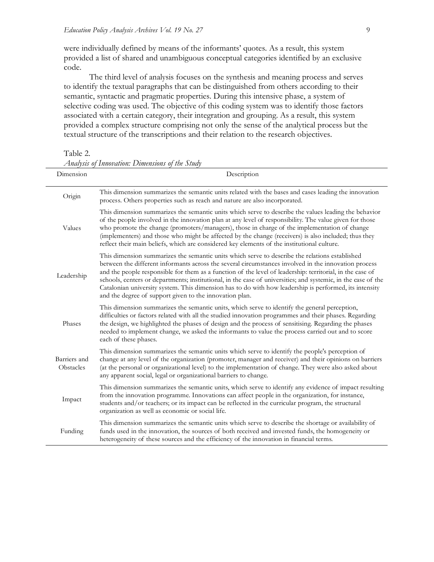were individually defined by means of the informants' quotes. As a result, this system provided a list of shared and unambiguous conceptual categories identified by an exclusive code.

The third level of analysis focuses on the synthesis and meaning process and serves to identify the textual paragraphs that can be distinguished from others according to their semantic, syntactic and pragmatic properties. During this intensive phase, a system of selective coding was used. The objective of this coding system was to identify those factors associated with a certain category, their integration and grouping. As a result, this system provided a complex structure comprising not only the sense of the analytical process but the textual structure of the transcriptions and their relation to the research objectives.

Table 2.

| Dimension                 | Description                                                                                                                                                                                                                                                                                                                                                                                                                                                                                                                                                                                               |  |  |
|---------------------------|-----------------------------------------------------------------------------------------------------------------------------------------------------------------------------------------------------------------------------------------------------------------------------------------------------------------------------------------------------------------------------------------------------------------------------------------------------------------------------------------------------------------------------------------------------------------------------------------------------------|--|--|
| Origin                    | This dimension summarizes the semantic units related with the bases and cases leading the innovation<br>process. Others properties such as reach and nature are also incorporated.                                                                                                                                                                                                                                                                                                                                                                                                                        |  |  |
| Values                    | This dimension summarizes the semantic units which serve to describe the values leading the behavior<br>of the people involved in the innovation plan at any level of responsibility. The value given for those<br>who promote the change (promoters/managers), those in charge of the implementation of change<br>(implementers) and those who might be affected by the change (receivers) is also included; thus they<br>reflect their main beliefs, which are considered key elements of the institutional culture.                                                                                    |  |  |
| Leadership                | This dimension summarizes the semantic units which serve to describe the relations established<br>between the different informants across the several circumstances involved in the innovation process<br>and the people responsible for them as a function of the level of leadership: territorial, in the case of<br>schools, centers or departments; institutional, in the case of universities; and systemic, in the case of the<br>Catalonian university system. This dimension has to do with how leadership is performed, its intensity<br>and the degree of support given to the innovation plan. |  |  |
| Phases                    | This dimension summarizes the semantic units, which serve to identify the general perception,<br>difficulties or factors related with all the studied innovation programmes and their phases. Regarding<br>the design, we highlighted the phases of design and the process of sensitising. Regarding the phases<br>needed to implement change, we asked the informants to value the process carried out and to score<br>each of these phases.                                                                                                                                                             |  |  |
| Barriers and<br>Obstacles | This dimension summarizes the semantic units which serve to identify the people's perception of<br>change at any level of the organization (promoter, manager and receiver) and their opinions on barriers<br>(at the personal or organizational level) to the implementation of change. They were also asked about<br>any apparent social, legal or organizational barriers to change.                                                                                                                                                                                                                   |  |  |
| Impact                    | This dimension summarizes the semantic units, which serve to identify any evidence of impact resulting<br>from the innovation programme. Innovations can affect people in the organization, for instance,<br>students and/or teachers; or its impact can be reflected in the curricular program, the structural<br>organization as well as economic or social life.                                                                                                                                                                                                                                       |  |  |
| Funding                   | This dimension summarizes the semantic units which serve to describe the shortage or availability of<br>funds used in the innovation, the sources of both received and invested funds, the homogeneity or<br>heterogeneity of these sources and the efficiency of the innovation in financial terms.                                                                                                                                                                                                                                                                                                      |  |  |

*Analysis of Innovation: Dimensions of the Study*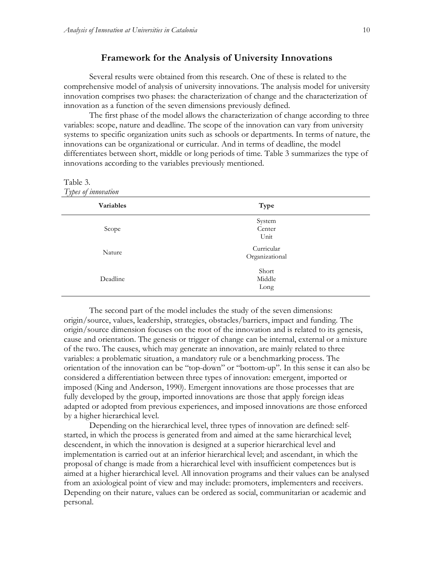## **Framework for the Analysis of University Innovations**

Several results were obtained from this research. One of these is related to the comprehensive model of analysis of university innovations. The analysis model for university innovation comprises two phases: the characterization of change and the characterization of innovation as a function of the seven dimensions previously defined.

The first phase of the model allows the characterization of change according to three variables: scope, nature and deadline. The scope of the innovation can vary from university systems to specific organization units such as schools or departments. In terms of nature, the innovations can be organizational or curricular. And in terms of deadline, the model differentiates between short, middle or long periods of time. Table 3 summarizes the type of innovations according to the variables previously mentioned.

#### Table 3. *Types of innovation*

| Types of <i>envolvement</i> |                              |  |
|-----------------------------|------------------------------|--|
| Variables                   | Type                         |  |
| Scope                       | System<br>Center<br>Unit     |  |
| Nature                      | Curricular<br>Organizational |  |
| Deadline                    | Short<br>Middle<br>Long      |  |

The second part of the model includes the study of the seven dimensions: origin/source, values, leadership, strategies, obstacles/barriers, impact and funding. The origin/source dimension focuses on the root of the innovation and is related to its genesis, cause and orientation. The genesis or trigger of change can be internal, external or a mixture of the two. The causes, which may generate an innovation, are mainly related to three variables: a problematic situation, a mandatory rule or a benchmarking process. The orientation of the innovation can be "top-down" or "bottom-up". In this sense it can also be considered a differentiation between three types of innovation: emergent, imported or imposed (King and Anderson, 1990). Emergent innovations are those processes that are fully developed by the group, imported innovations are those that apply foreign ideas adapted or adopted from previous experiences, and imposed innovations are those enforced by a higher hierarchical level.

Depending on the hierarchical level, three types of innovation are defined: selfstarted, in which the process is generated from and aimed at the same hierarchical level; descendent, in which the innovation is designed at a superior hierarchical level and implementation is carried out at an inferior hierarchical level; and ascendant, in which the proposal of change is made from a hierarchical level with insufficient competences but is aimed at a higher hierarchical level. All innovation programs and their values can be analysed from an axiological point of view and may include: promoters, implementers and receivers. Depending on their nature, values can be ordered as social, communitarian or academic and personal.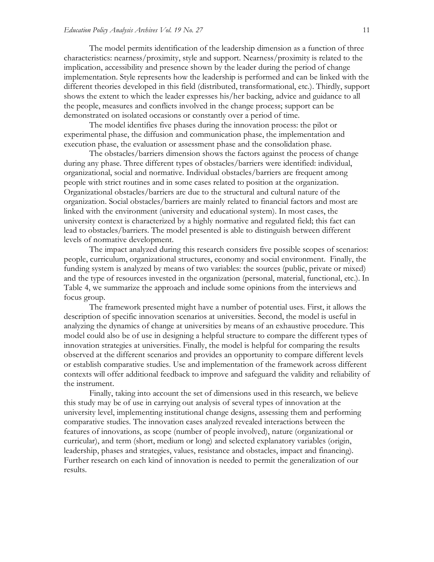The model permits identification of the leadership dimension as a function of three characteristics: nearness/proximity, style and support. Nearness/proximity is related to the implication, accessibility and presence shown by the leader during the period of change implementation. Style represents how the leadership is performed and can be linked with the different theories developed in this field (distributed, transformational, etc.). Thirdly, support shows the extent to which the leader expresses his/her backing, advice and guidance to all the people, measures and conflicts involved in the change process; support can be demonstrated on isolated occasions or constantly over a period of time.

The model identifies five phases during the innovation process: the pilot or experimental phase, the diffusion and communication phase, the implementation and execution phase, the evaluation or assessment phase and the consolidation phase.

The obstacles/barriers dimension shows the factors against the process of change during any phase. Three different types of obstacles/barriers were identified: individual, organizational, social and normative. Individual obstacles/barriers are frequent among people with strict routines and in some cases related to position at the organization. Organizational obstacles/barriers are due to the structural and cultural nature of the organization. Social obstacles/barriers are mainly related to financial factors and most are linked with the environment (university and educational system). In most cases, the university context is characterized by a highly normative and regulated field; this fact can lead to obstacles/barriers. The model presented is able to distinguish between different levels of normative development.

The impact analyzed during this research considers five possible scopes of scenarios: people, curriculum, organizational structures, economy and social environment. Finally, the funding system is analyzed by means of two variables: the sources (public, private or mixed) and the type of resources invested in the organization (personal, material, functional, etc.). In Table 4, we summarize the approach and include some opinions from the interviews and focus group.

The framework presented might have a number of potential uses. First, it allows the description of specific innovation scenarios at universities. Second, the model is useful in analyzing the dynamics of change at universities by means of an exhaustive procedure. This model could also be of use in designing a helpful structure to compare the different types of innovation strategies at universities. Finally, the model is helpful for comparing the results observed at the different scenarios and provides an opportunity to compare different levels or establish comparative studies. Use and implementation of the framework across different contexts will offer additional feedback to improve and safeguard the validity and reliability of the instrument.

Finally, taking into account the set of dimensions used in this research, we believe this study may be of use in carrying out analysis of several types of innovation at the university level, implementing institutional change designs, assessing them and performing comparative studies. The innovation cases analyzed revealed interactions between the features of innovations, as scope (number of people involved), nature (organizational or curricular), and term (short, medium or long) and selected explanatory variables (origin, leadership, phases and strategies, values, resistance and obstacles, impact and financing). Further research on each kind of innovation is needed to permit the generalization of our results.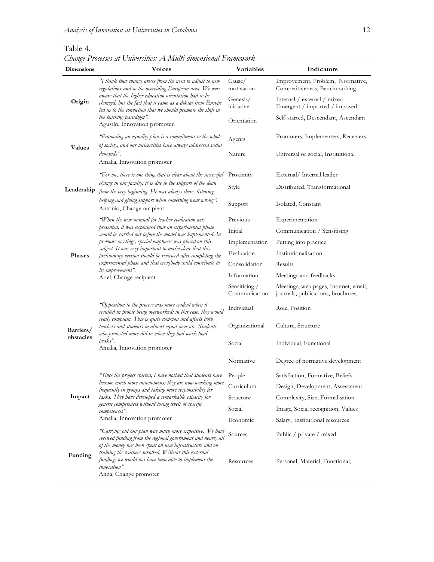*Change Processes at Universities: A Multi-dimensional Framework*

| Dimensions             | <b>Voices</b>                                                                                                                                                                                                                                                                                                        | <b>Variables</b>               | Indicators                                                                  |  |
|------------------------|----------------------------------------------------------------------------------------------------------------------------------------------------------------------------------------------------------------------------------------------------------------------------------------------------------------------|--------------------------------|-----------------------------------------------------------------------------|--|
| Origin                 | "I think that change arises from the need to adjust to new<br>regulations and to the overriding European area. We were                                                                                                                                                                                               | Cause/<br>motivation           | Improvement, Problem, Normative,<br>Competitiveness, Benchmarking           |  |
|                        | aware that the higher education orientation had to be<br>changed, but the fact that it came as a diktat from Europe<br>led us to the conviction that we should promote the shift in                                                                                                                                  | Genesis/<br>initiative         | Internal / external / mixed<br>Emergent / imported / imposed                |  |
|                        | the teaching paradigm".<br>Agustín, Innovation promoter.                                                                                                                                                                                                                                                             | Orientation                    | Self-started, Descendant, Ascendant                                         |  |
| <b>Values</b>          | 'Promoting an equality plan is a commitment to the whole<br>of society, and our universities have always addressed social                                                                                                                                                                                            | Agents                         | Promoters, Implementers, Receivers                                          |  |
|                        | demands".<br>Amalia, Innovation promoter                                                                                                                                                                                                                                                                             | Nature                         | Universal or social, Institutional                                          |  |
| Leadership             | 'For me, there is one thing that is clear about the successful                                                                                                                                                                                                                                                       | Proximity                      | External/Internal leader                                                    |  |
|                        | change in our faculty: it is due to the support of the dean<br>from the very beginning. He was always there, listening,                                                                                                                                                                                              | Style                          | Distributed, Transformational                                               |  |
|                        | belping and giving support when something went wrong".<br>Antonio, Change recipient                                                                                                                                                                                                                                  | Support                        | Isolated, Constant                                                          |  |
| Phases                 | 'When the new manual for teacher evaluation was                                                                                                                                                                                                                                                                      | Previous                       | Experimentation                                                             |  |
|                        | presented, it was explained that an experimental phase<br>would be carried out before the model was implemented. In                                                                                                                                                                                                  | Initial                        | Communication / Sensitising                                                 |  |
|                        | previous meetings, special emphasis was placed on this                                                                                                                                                                                                                                                               | Implementation                 | Putting into practice                                                       |  |
|                        | subject. It was very important to make clear that this<br>preliminary version should be reviewed after completing the                                                                                                                                                                                                | Evaluation                     | Institutionalisation                                                        |  |
|                        | experimental phase and that everybody could contribute to<br>its improvement".<br>Ariel, Change recipient                                                                                                                                                                                                            | Consolidation                  | Results                                                                     |  |
|                        |                                                                                                                                                                                                                                                                                                                      | Information                    | Meetings and feedbacks                                                      |  |
|                        |                                                                                                                                                                                                                                                                                                                      | Sensitising /<br>Communication | Meetings, web pages, Intranet, email,<br>journals, publications, brochures, |  |
| Barriers/<br>obstacles | "Opposition to the process was more evident when it<br>resulted in people being overworked: in this case, they would                                                                                                                                                                                                 | Individual                     | Role, Position                                                              |  |
|                        | really complain. This is quite common and affects both<br>teachers and students in almost equal measure. Students<br>who protested more did so when they had work load                                                                                                                                               | Organizational                 | Culture, Structure                                                          |  |
|                        | peaks".<br>Amalia, Innovation promoter                                                                                                                                                                                                                                                                               | Social                         | Individual, Functional                                                      |  |
|                        |                                                                                                                                                                                                                                                                                                                      | Normative                      | Degree of normative development                                             |  |
|                        | "Since the project started, I have noticed that students have<br>become much more autonomous; they are now working more<br>frequently in groups and taking more responsibility for<br>tasks. They have developed a remarkable capacity for<br>generic competences without losing levels of specific<br>competences". | People                         | Satisfaction, Formative, Beliefs                                            |  |
|                        |                                                                                                                                                                                                                                                                                                                      | Curriculum                     | Design, Development, Assessment                                             |  |
| Impact                 |                                                                                                                                                                                                                                                                                                                      | Structure                      | Complexity, Size, Formalisation                                             |  |
|                        |                                                                                                                                                                                                                                                                                                                      | Social                         | Image, Social recognition, Values                                           |  |
|                        | Amalia, Innovation promoter                                                                                                                                                                                                                                                                                          | Economic                       | Salary, institutional resources                                             |  |
| Funding                | "Carrying out our plan was much more expensive. We have<br>received funding from the regional government and nearly all<br>of the money has been spent on new infrastructure and on                                                                                                                                  | Sources                        | Public / private / mixed                                                    |  |
|                        | training the teachers involved. Without this external<br>funding, we would not have been able to implement the<br><i>innovation</i> ".<br>Anna, Change promoter                                                                                                                                                      | Resources                      | Personal, Material, Functional,                                             |  |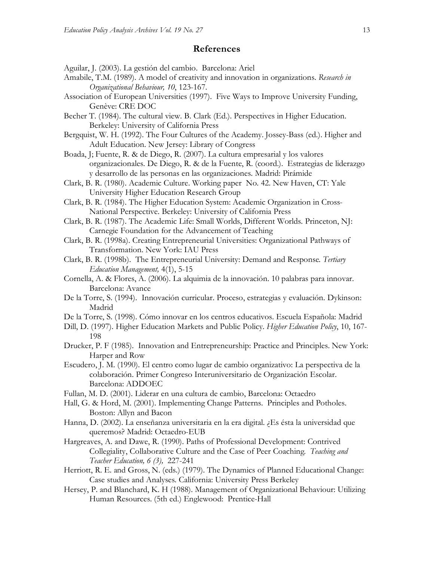## **References**

- Aguilar, J. (2003). La gestión del cambio. Barcelona: Ariel
- Amabile, T.M. (1989). A model of creativity and innovation in organizations. *Research in Organizational Behaviour, 10*, 123-167.
- Association of European Universities (1997). Five Ways to Improve University Funding, Genève: CRE DOC
- Becher T. (1984). The cultural view. B. Clark (Ed.). Perspectives in Higher Education. Berkeley: University of California Press
- Bergquist, W. H. (1992). The Four Cultures of the Academy. Jossey-Bass (ed.). Higher and Adult Education. New Jersey: Library of Congress
- Boada, J; Fuente, R. & de Diego, R. (2007). La cultura empresarial y los valores organizacionales. De Diego, R. & de la Fuente, R. (coord.). Estrategias de liderazgo y desarrollo de las personas en las organizaciones. Madrid: Pirámide
- Clark, B. R. (1980). Academic Culture. Working paper No. 42. New Haven, CT: Yale University Higher Education Research Group
- Clark, B. R. (1984). The Higher Education System: Academic Organization in Cross-National Perspective. Berkeley: University of California Press
- Clark, B. R. (1987). The Academic Life: Small Worlds, Different Worlds. Princeton, NJ: Carnegie Foundation for the Advancement of Teaching
- Clark, B. R. (1998a). Creating Entrepreneurial Universities: Organizational Pathways of Transformation. New York: IAU Press
- Clark, B. R. (1998b). The Entrepreneurial University: Demand and Response*. Tertiary Education Management,* 4(1), 5-15
- Cornella, A. & Flores, A. (2006). La alquimia de la innovación. 10 palabras para innovar. Barcelona: Avance
- De la Torre, S. (1994). Innovación curricular. Proceso, estrategias y evaluación. Dykinson: Madrid
- De la Torre, S. (1998). Cómo innovar en los centros educativos. Escuela Española: Madrid
- Dill, D. (1997). Higher Education Markets and Public Policy. *Higher Education Policy*, 10, 167- 198
- Drucker, P. F (1985). Innovation and Entrepreneurship: Practice and Principles. New York: Harper and Row
- Escudero, J. M. (1990). El centro como lugar de cambio organizativo: La perspectiva de la colaboración. Primer Congreso Interuniversitario de Organización Escolar. Barcelona: ADDOEC
- Fullan, M. D. (2001). Liderar en una cultura de cambio, Barcelona: Octaedro
- Hall, G. & Hord, M. (2001). Implementing Change Patterns. Principles and Potholes. Boston: Allyn and Bacon
- Hanna, D. (2002). La enseñanza universitaria en la era digital. ¿Es ésta la universidad que queremos? Madrid: Octaedro-EUB
- Hargreaves, A. and Dawe, R. (1990). Paths of Professional Development: Contrived Collegiality, Collaborative Culture and the Case of Peer Coaching. *Teaching and Teacher Education, 6 (3),* 227-241
- Herriott, R. E. and Gross, N. (eds.) (1979). The Dynamics of Planned Educational Change: Case studies and Analyses. California: University Press Berkeley
- Hersey, P. and Blanchard, K. H (1988). Management of Organizational Behaviour: Utilizing Human Resources. (5th ed.) Englewood: Prentice-Hall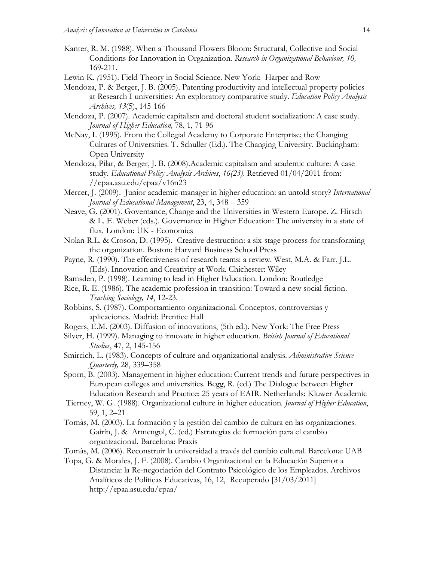- Kanter, R. M. (1988). When a Thousand Flowers Bloom: Structural, Collective and Social Conditions for Innovation in Organization. *Research in Organizational Behaviour, 10,* 169-211.
- Lewin K. *(*1951). Field Theory in Social Science. New York: Harper and Row
- Mendoza, P. & Berger, J. B. (2005). Patenting productivity and intellectual property policies at Research I universities: An exploratory comparative study. *Education Policy Analysis Archives, 13*(5), 145-166
- Mendoza, P. (2007). Academic capitalism and doctoral student socialization: A case study. *Journal of Higher Education,* 78, 1, 71-96
- McNay, I. (1995). From the Collegial Academy to Corporate Enterprise; the Changing Cultures of Universities. T. Schuller (Ed.). The Changing University. Buckingham: Open University
- Mendoza, Pilar, & Berger, J. B. (2008).Academic capitalism and academic culture: A case study. *Educational Policy Analysis Archives*, *16(23)*. Retrieved 01/04/2011 from: //epaa.asu.edu/epaa/v16n23

Mercer, J. (2009). Junior academic-manager in higher education: an untold story? *International Journal of Educational Management*, 23, 4, 348 – 359

- Neave, G. (2001). Governance, Change and the Universities in Western Europe. Z. Hirsch & L. E. Weber (eds.). Governance in Higher Education: The university in a state of flux. London: UK - Economics
- Nolan R.L. & Croson, D. (1995). Creative destruction: a six-stage process for transforming the organization. Boston: Harvard Business School Press
- Payne, R. (1990). The effectiveness of research teams: a review. West, M.A. & Farr, J.L. (Eds). Innovation and Creativity at Work. Chichester: Wiley
- Ramsden, P. (1998). Learning to lead in Higher Education. London: Routledge
- Rice, R. E. (1986). The academic profession in transition: Toward a new social fiction. *Teaching Sociology, 14*, 12-23.
- Robbins, S. (1987). Comportamiento organizacional. Conceptos, controversias y aplicaciones. Madrid: Prentice Hall
- Rogers, E.M. (2003). Diffusion of innovations, (5th ed.). New York: The Free Press
- Silver, H. (1999). Managing to innovate in higher education. *British Journal of Educational Studies*, 47, 2, 145-156

Smircich, L. (1983). Concepts of culture and organizational analysis. *Administrative Science Quarterly,* 28, 339–358

- Sporn, B. (2003). Management in higher education: Current trends and future perspectives in European colleges and universities. Begg, R. (ed.) The Dialogue between Higher Education Research and Practice: 25 years of EAIR. Netherlands: Kluwer Academic
- Tierney, W. G. (1988). Organizational culture in higher education*. Journal of Higher Education*, 59, 1, 2–21
- Tomàs, M. (2003). La formación y la gestión del cambio de cultura en las organizaciones. Gairín, J. & Armengol, C. (ed.) Estrategias de formación para el cambio organizacional. Barcelona: Praxis
- Tomàs, M. (2006). Reconstruir la universidad a través del cambio cultural. Barcelona: UAB
- Topa, G. & Morales, J. F. (2008). Cambio Organizacional en la Educación Superior a Distancia: la Re-negociación del Contrato Psicológico de los Empleados. Archivos Analíticos de Políticas Educativas, 16, 12, Recuperado [31/03/2011] http://epaa.asu.edu/epaa/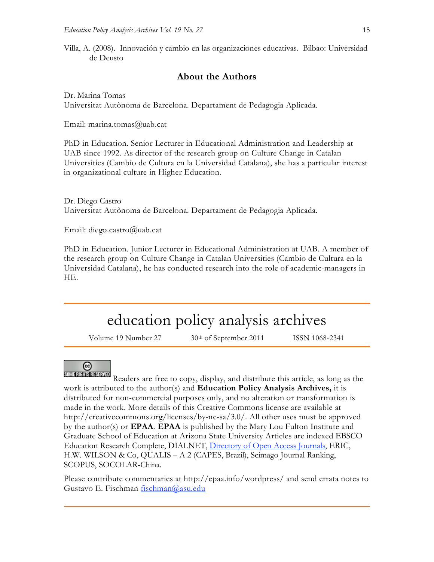Villa, A. (2008). Innovación y cambio en las organizaciones educativas. Bilbao: Universidad de Deusto

# **About the Authors**

Dr. Marina Tomas Universitat Autònoma de Barcelona. Departament de Pedagogia Aplicada.

Email: marina.tomas@uab.cat

PhD in Education. Senior Lecturer in Educational Administration and Leadership at UAB since 1992. As director of the research group on Culture Change in Catalan Universities (Cambio de Cultura en la Universidad Catalana), she has a particular interest in organizational culture in Higher Education.

Dr. Diego Castro Universitat Autònoma de Barcelona. Departament de Pedagogia Aplicada.

Email: diego.castro@uab.cat

PhD in Education. Junior Lecturer in Educational Administration at UAB. A member of the research group on Culture Change in Catalan Universities (Cambio de Cultura en la Universidad Catalana), he has conducted research into the role of academic-managers in HE.

# education policy analysis archives

Volume 19 Number 27 30<sup>th</sup> of September 2011 ISSN 1068-2341

# ල

Readers are free to copy, display, and distribute this article, as long as the work is attributed to the author(s) and **Education Policy Analysis Archives,** it is distributed for non-commercial purposes only, and no alteration or transformation is made in the work. More details of this Creative Commons license are available at http://creativecommons.org/licenses/by-nc-sa/3.0/. All other uses must be approved by the author(s) or **EPAA**. **EPAA** is published by the Mary Lou Fulton Institute and Graduate School of Education at Arizona State University Articles are indexed EBSCO Education Research Complete, DIALNET, Directory of Open Access Journals, ERIC, H.W. WILSON & Co, QUALIS – A 2 (CAPES, Brazil), Scimago Journal Ranking, SCOPUS, SOCOLAR-China.

Please contribute commentaries at http://epaa.info/wordpress/ and send errata notes to Gustavo E. Fischman fischman@asu.edu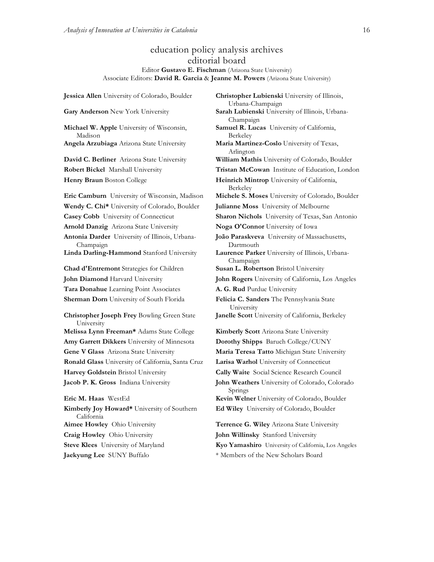# education policy analysis archives editorial board Editor **Gustavo E. Fischman** (Arizona State University) Associate Editors: **David R. Garcia** & **Jeanne M. Powers** (Arizona State University)

**Gary Anderson** New York University **Sarah Lubienski** University of Illinois, Urbana-**Michael W. Apple** University of Wisconsin, Madison **Angela Arzubiaga** Arizona State University **Maria Martinez-Coslo** University of Texas, **David C. Berliner** Arizona State University **William Mathis** University of Colorado, Boulder **Robert Bickel** Marshall University **Tristan McCowan** Institute of Education, London **Henry Braun** Boston College **Heinrich Mintrop** University of California, **Eric Camburn** University of Wisconsin, Madison **Michele S. Moses** University of Colorado, Boulder **Wendy C. Chi\*** University of Colorado, Boulder **Julianne Moss** University of Melbourne **Casey Cobb** University of Connecticut **Sharon Nichols** University of Texas, San Antonio **Arnold Danzig** Arizona State University **Noga O'Connor** University of Iowa **Antonia Darder** University of Illinois, Urbana-Champaign **Linda Darling-Hammond** Stanford University **Laurence Parker** University of Illinois, Urbana-**Chad d'Entremont** Strategies for Children **Susan L. Robertson** Bristol University **John Diamond** Harvard University **John Rogers** University of California, Los Angeles Tara Donahue Learning Point Associates **A. G. Rud** Purdue University **Sherman Dorn** University of South Florida **Felicia C. Sanders** The Pennsylvania State **Christopher Joseph Frey** Bowling Green State University **Melissa Lynn Freeman\*** Adams State College **Kimberly Scott** Arizona State University **Amy Garrett Dikkers** University of Minnesota **Dorothy Shipps** Baruch College/CUNY **Gene V Glass** Arizona State University **Maria Teresa Tatto** Michigan State University **Ronald Glass** University of California, Santa Cruz **Larisa Warhol** University of Connecticut **Harvey Goldstein** Bristol University **Cally Waite** Social Science Research Council **Jacob P. K. Gross** Indiana University **John Weathers** University of Colorado, Colorado **Eric M. Haas** WestEd **Kevin Welner** University of Colorado, Boulder **Kimberly Joy Howard\*** University of Southern California **Aimee Howley** Ohio University **Terrence G. Wiley** Arizona State University **Craig Howley** Ohio University **John Willinsky** Stanford University **Steve Klees** University of Maryland **Kyo Yamashiro** University of California, Los Angeles

**Jessica Allen** University of Colorado, Boulder **Christopher Lubienski** University of Illinois, Urbana-Champaign Champaign **Samuel R. Lucas** University of California, Berkeley Arlington Berkeley **João Paraskveva** University of Massachusetts, Dartmouth Champaign University **Janelle Scott** University of California, Berkeley Springs **Ed Wiley** University of Colorado, Boulder

**Jaekyung Lee** SUNY Buffalo \* \* Members of the New Scholars Board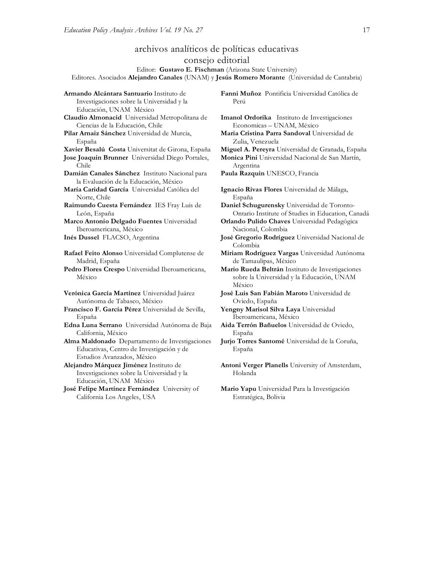# archivos analíticos de políticas educativas consejo editorial

Editor: **Gustavo E. Fischman** (Arizona State University)

Editores. Asociados **Alejandro Canales** (UNAM) y **Jesús Romero Morante** (Universidad de Cantabria)

**Armando Alcántara Santuario** Instituto de Investigaciones sobre la Universidad y la Educación, UNAM México **Claudio Almonacid** Universidad Metropolitana de Ciencias de la Educación, Chile **Pilar Arnaiz Sánchez** Universidad de Murcia, España **Xavier Besalú Costa** Universitat de Girona, España **Miguel A. Pereyra** Universidad de Granada, España **Jose Joaquin Brunner** Universidad Diego Portales, Chile **Damián Canales Sánchez** Instituto Nacional para la Evaluación de la Educación, México **María Caridad García** Universidad Católica del Norte, Chile **Raimundo Cuesta Fernández** IES Fray Luis de León, España **Marco Antonio Delgado Fuentes** Universidad Iberoamericana, México **Inés Dussel** FLACSO, Argentina **José Gregorio Rodríguez** Universidad Nacional de **Rafael Feito Alonso** Universidad Complutense de Madrid, España **Pedro Flores Crespo** Universidad Iberoamericana, México **Verónica García Martínez** Universidad Juárez Autónoma de Tabasco, México **Francisco F. García Pérez** Universidad de Sevilla, España **Edna Luna Serrano** Universidad Autónoma de Baja California, México **Alma Maldonado** Departamento de Investigaciones Educativas, Centro de Investigación y de Estudios Avanzados, México **Alejandro Márquez Jiménez** Instituto de Investigaciones sobre la Universidad y la Educación, UNAM México

**José Felipe Martínez Fernández** University of California Los Angeles, USA

**Fanni Muñoz** Pontificia Universidad Católica de Perú

**Imanol Ordorika** Instituto de Investigaciones Economicas – UNAM, México

**Maria Cristina Parra Sandoval** Universidad de Zulia, Venezuela

**Monica Pini** Universidad Nacional de San Martín, Argentina

**Paula Razquin** UNESCO, Francia

**Ignacio Rivas Flores** Universidad de Málaga, España

**Daniel Schugurensky** Universidad de Toronto-Ontario Institute of Studies in Education, Canadá

**Orlando Pulido Chaves** Universidad Pedagógica Nacional, Colombia

Colombia

**Miriam Rodríguez Vargas** Universidad Autónoma de Tamaulipas, México

**Mario Rueda Beltrán** Instituto de Investigaciones sobre la Universidad y la Educación, UNAM México

**José Luis San Fabián Maroto** Universidad de Oviedo, España

**Yengny Marisol Silva Laya** Universidad Iberoamericana, México

**Aida Terrón Bañuelos** Universidad de Oviedo, España

**Jurjo Torres Santomé** Universidad de la Coruña, España

**Antoni Verger Planells** University of Amsterdam, Holanda

**Mario Yapu** Universidad Para la Investigación Estratégica, Bolivia